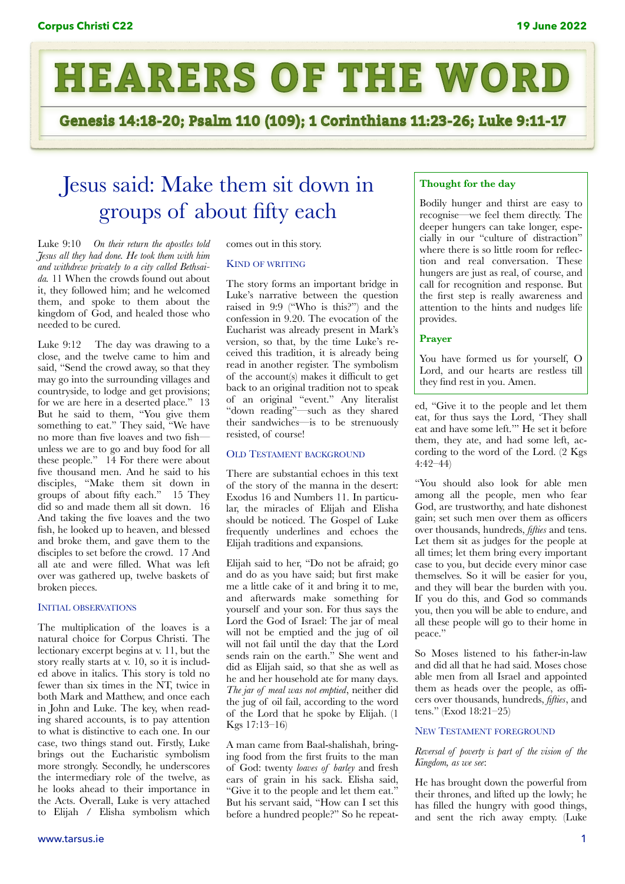

Genesis 14:18-20; Psalm 110 (109); 1 Corinthians 11:23-26; Luke 9:11-17

# Jesus said: Make them sit down in groups of about fifty each

Luke 9:10 *On their return the apostles told Jesus all they had done. He took them with him and withdrew privately to a city called Bethsaida.* 11 When the crowds found out about it, they followed him; and he welcomed them, and spoke to them about the kingdom of God, and healed those who needed to be cured.

Luke 9:12 The day was drawing to a close, and the twelve came to him and said, "Send the crowd away, so that they may go into the surrounding villages and countryside, to lodge and get provisions; for we are here in a deserted place." 13 But he said to them, "You give them something to eat." They said, "We have no more than five loaves and two fish unless we are to go and buy food for all these people." 14 For there were about five thousand men. And he said to his disciples, "Make them sit down in groups of about fifty each." 15 They did so and made them all sit down. 16 And taking the five loaves and the two fish, he looked up to heaven, and blessed and broke them, and gave them to the disciples to set before the crowd. 17 And all ate and were filled. What was left over was gathered up, twelve baskets of broken pieces.

# INITIAL OBSERVATIONS

The multiplication of the loaves is a natural choice for Corpus Christi. The lectionary excerpt begins at v. 11, but the story really starts at v. 10, so it is included above in italics. This story is told no fewer than six times in the NT, twice in both Mark and Matthew, and once each in John and Luke. The key, when reading shared accounts, is to pay attention to what is distinctive to each one. In our case, two things stand out. Firstly, Luke brings out the Eucharistic symbolism more strongly. Secondly, he underscores the intermediary role of the twelve, as he looks ahead to their importance in the Acts. Overall, Luke is very attached to Elijah / Elisha symbolism which comes out in this story.

## KIND OF WRITING

The story forms an important bridge in Luke's narrative between the question raised in 9:9 ("Who is this?") and the confession in 9.20. The evocation of the Eucharist was already present in Mark's version, so that, by the time Luke's received this tradition, it is already being read in another register. The symbolism of the account(s) makes it difficult to get back to an original tradition not to speak of an original "event." Any literalist "down reading"—such as they shared their sandwiches—is to be strenuously resisted, of course!

## OLD TESTAMENT BACKGROUND

There are substantial echoes in this text of the story of the manna in the desert: Exodus 16 and Numbers 11. In particular, the miracles of Elijah and Elisha should be noticed. The Gospel of Luke frequently underlines and echoes the Elijah traditions and expansions.

Elijah said to her, "Do not be afraid; go and do as you have said; but first make me a little cake of it and bring it to me, and afterwards make something for yourself and your son. For thus says the Lord the God of Israel: The jar of meal will not be emptied and the jug of oil will not fail until the day that the Lord sends rain on the earth." She went and did as Elijah said, so that she as well as he and her household ate for many days. *The jar of meal was not emptied*, neither did the jug of oil fail, according to the word of the Lord that he spoke by Elijah. (1 Kgs 17:13–16)

A man came from Baal-shalishah, bringing food from the first fruits to the man of God: twenty *loaves of barley* and fresh ears of grain in his sack. Elisha said, "Give it to the people and let them eat." But his servant said, "How can I set this before a hundred people?" So he repeat-

## **Thought for the day**

Bodily hunger and thirst are easy to recognise—we feel them directly. The deeper hungers can take longer, especially in our "culture of distraction" where there is so little room for reflection and real conversation. These hungers are just as real, of course, and call for recognition and response. But the first step is really awareness and attention to the hints and nudges life provides.

# **Prayer**

You have formed us for yourself, O Lord, and our hearts are restless till they find rest in you. Amen.

ed, "Give it to the people and let them eat, for thus says the Lord, 'They shall eat and have some left.'" He set it before them, they ate, and had some left, according to the word of the Lord. (2 Kgs 4:42–44)

"You should also look for able men among all the people, men who fear God, are trustworthy, and hate dishonest gain; set such men over them as officers over thousands, hundreds, *fifties* and tens. Let them sit as judges for the people at all times; let them bring every important case to you, but decide every minor case themselves. So it will be easier for you, and they will bear the burden with you. If you do this, and God so commands you, then you will be able to endure, and all these people will go to their home in peace."

So Moses listened to his father-in-law and did all that he had said. Moses chose able men from all Israel and appointed them as heads over the people, as offcers over thousands, hundreds, *fifties*, and tens." (Exod 18:21–25)

#### NEW TESTAMENT FOREGROUND

## *Reversal of poverty is part of the vision of the Kingdom, as we see*:

He has brought down the powerful from their thrones, and lifted up the lowly; he has filled the hungry with good things, and sent the rich away empty. (Luke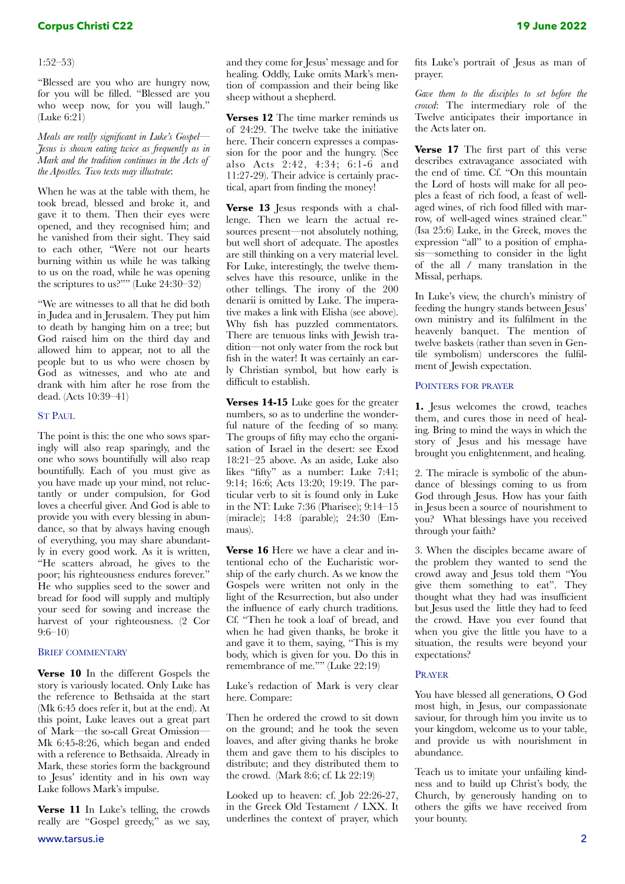# 1:52–53)

"Blessed are you who are hungry now, for you will be filled. "Blessed are you who weep now, for you will laugh." (Luke 6:21)

*Meals are really significant in Luke's Gospel— Jesus is shown eating twice as frequently as in Mark and the tradition continues in the Acts of the Apostles. Two texts may illustrate*:

When he was at the table with them, he took bread, blessed and broke it, and gave it to them. Then their eyes were opened, and they recognised him; and he vanished from their sight. They said to each other, "Were not our hearts burning within us while he was talking to us on the road, while he was opening the scriptures to us?"" (Luke 24:30–32)

"We are witnesses to all that he did both in Judea and in Jerusalem. They put him to death by hanging him on a tree; but God raised him on the third day and allowed him to appear, not to all the people but to us who were chosen by God as witnesses, and who ate and drank with him after he rose from the dead. (Acts 10:39–41)

#### ST PAUL

The point is this: the one who sows sparingly will also reap sparingly, and the one who sows bountifully will also reap bountifully. Each of you must give as you have made up your mind, not reluctantly or under compulsion, for God loves a cheerful giver. And God is able to provide you with every blessing in abundance, so that by always having enough of everything, you may share abundantly in every good work. As it is written, "He scatters abroad, he gives to the poor; his righteousness endures forever." He who supplies seed to the sower and bread for food will supply and multiply your seed for sowing and increase the harvest of your righteousness. (2 Cor 9:6–10)

# BRIEF COMMENTARY

**Verse 10** In the different Gospels the story is variously located. Only Luke has the reference to Bethsaida at the start (Mk 6:45 does refer it, but at the end). At this point, Luke leaves out a great part of Mark—the so-call Great Omission— Mk 6:45-8:26, which began and ended with a reference to Bethsaida. Already in Mark, these stories form the background to Jesus' identity and in his own way Luke follows Mark's impulse.

**Verse 11** In Luke's telling, the crowds really are "Gospel greedy," as we say, and they come for Jesus' message and for healing. Oddly, Luke omits Mark's mention of compassion and their being like sheep without a shepherd.

**Verses 12** The time marker reminds us of 24:29. The twelve take the initiative here. Their concern expresses a compassion for the poor and the hungry. (See also Acts 2:42, 4:34; 6:1-6 and 11:27-29). Their advice is certainly practical, apart from finding the money!

**Verse 13** Jesus responds with a challenge. Then we learn the actual resources present—not absolutely nothing, but well short of adequate. The apostles are still thinking on a very material level. For Luke, interestingly, the twelve themselves have this resource, unlike in the other tellings. The irony of the 200 denarii is omitted by Luke. The imperative makes a link with Elisha (see above). Why fish has puzzled commentators. There are tenuous links with Jewish tradition—not only water from the rock but fish in the water! It was certainly an early Christian symbol, but how early is difficult to establish.

**Verses 14-15** Luke goes for the greater numbers, so as to underline the wonderful nature of the feeding of so many. The groups of fifty may echo the organisation of Israel in the desert: see Exod 18:21–25 above. As an aside, Luke also likes "fifty" as a number: Luke 7:41; 9:14; 16:6; Acts 13:20; 19:19. The particular verb to sit is found only in Luke in the NT: Luke 7:36 (Pharisee); 9:14–15 (miracle); 14:8 (parable); 24:30 (Emmaus).

**Verse 16** Here we have a clear and intentional echo of the Eucharistic worship of the early church. As we know the Gospels were written not only in the light of the Resurrection, but also under the influence of early church traditions. Cf. "Then he took a loaf of bread, and when he had given thanks, he broke it and gave it to them, saying, "This is my body, which is given for you. Do this in remembrance of me."" (Luke 22:19)

Luke's redaction of Mark is very clear here. Compare:

Then he ordered the crowd to sit down on the ground; and he took the seven loaves, and after giving thanks he broke them and gave them to his disciples to distribute; and they distributed them to the crowd. (Mark 8:6; cf. Lk 22:19)

Looked up to heaven: cf. Job 22:26-27, in the Greek Old Testament / LXX. It underlines the context of prayer, which fits Luke's portrait of Jesus as man of prayer.

*Gave them to the disciples to set before the crowd*: The intermediary role of the Twelve anticipates their importance in the Acts later on.

**Verse 17** The first part of this verse describes extravagance associated with the end of time. Cf. "On this mountain the Lord of hosts will make for all peoples a feast of rich food, a feast of wellaged wines, of rich food filled with marrow, of well-aged wines strained clear." (Isa 25:6) Luke, in the Greek, moves the expression "all" to a position of emphasis—something to consider in the light of the all / many translation in the Missal, perhaps.

In Luke's view, the church's ministry of feeding the hungry stands between Jesus' own ministry and its fulfilment in the heavenly banquet. The mention of twelve baskets (rather than seven in Gentile symbolism) underscores the fulfilment of Jewish expectation.

#### POINTERS FOR PRAYER

**1.** Jesus welcomes the crowd, teaches them, and cures those in need of healing. Bring to mind the ways in which the story of Jesus and his message have brought you enlightenment, and healing.

2. The miracle is symbolic of the abundance of blessings coming to us from God through Jesus. How has your faith in Jesus been a source of nourishment to you? What blessings have you received through your faith?

3. When the disciples became aware of the problem they wanted to send the crowd away and Jesus told them "You give them something to eat". They thought what they had was insufficient but Jesus used the little they had to feed the crowd. Have you ever found that when you give the little you have to a situation, the results were beyond your expectations?

#### PRAYER

You have blessed all generations, O God most high, in Jesus, our compassionate saviour, for through him you invite us to your kingdom, welcome us to your table, and provide us with nourishment in abundance.

Teach us to imitate your unfailing kindness and to build up Christ's body, the Church, by generously handing on to others the gifts we have received from your bounty.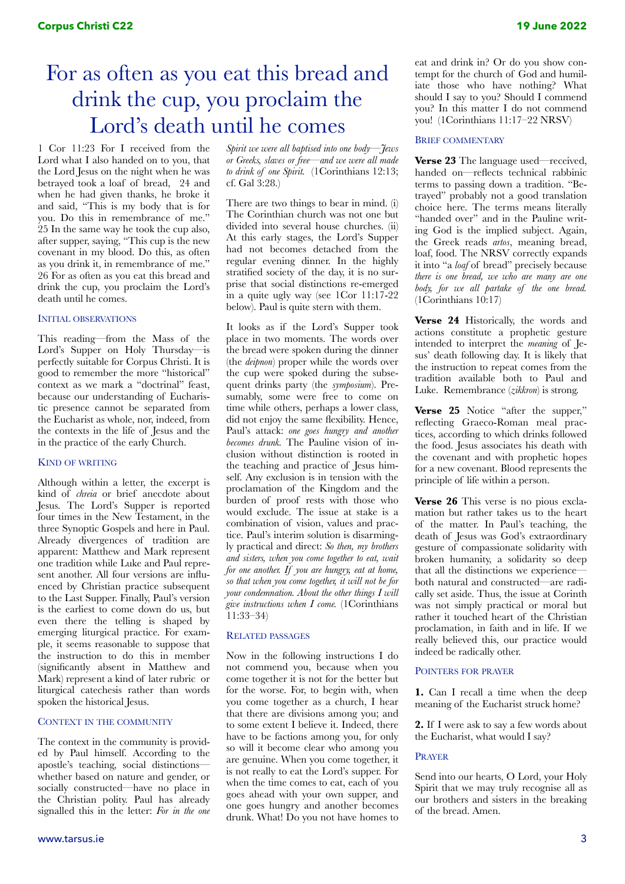# For as often as you eat this bread and drink the cup, you proclaim the Lord's death until he comes

1 Cor 11:23 For I received from the Lord what I also handed on to you, that the Lord Jesus on the night when he was betrayed took a loaf of bread, 24 and when he had given thanks, he broke it and said, "This is my body that is for you. Do this in remembrance of me." 25 In the same way he took the cup also, after supper, saying, "This cup is the new covenant in my blood. Do this, as often as you drink it, in remembrance of me." 26 For as often as you eat this bread and drink the cup, you proclaim the Lord's death until he comes.

# INITIAL OBSERVATIONS

This reading—from the Mass of the Lord's Supper on Holy Thursday—is perfectly suitable for Corpus Christi. It is good to remember the more "historical" context as we mark a "doctrinal" feast, because our understanding of Eucharistic presence cannot be separated from the Eucharist as whole, nor, indeed, from the contexts in the life of Jesus and the in the practice of the early Church.

#### KIND OF WRITING

Although within a letter, the excerpt is kind of *chreia* or brief anecdote about Jesus. The Lord's Supper is reported four times in the New Testament, in the three Synoptic Gospels and here in Paul. Already divergences of tradition are apparent: Matthew and Mark represent one tradition while Luke and Paul represent another. All four versions are influenced by Christian practice subsequent to the Last Supper. Finally, Paul's version is the earliest to come down do us, but even there the telling is shaped by emerging liturgical practice. For example, it seems reasonable to suppose that the instruction to do this in member (significantly absent in Matthew and Mark) represent a kind of later rubric or liturgical catechesis rather than words spoken the historical Jesus.

#### CONTEXT IN THE COMMUNITY

The context in the community is provided by Paul himself. According to the apostle's teaching, social distinctions whether based on nature and gender, or socially constructed—have no place in the Christian polity. Paul has already signalled this in the letter: *For in the one*  *Spirit we were all baptised into one body—Jews or Greeks, slaves or free—and we were all made to drink of one Spirit.* (1Corinthians 12:13; cf. Gal 3:28.)

There are two things to bear in mind. (i) The Corinthian church was not one but divided into several house churches. (ii) At this early stages, the Lord's Supper had not becomes detached from the regular evening dinner. In the highly stratified society of the day, it is no surprise that social distinctions re-emerged in a quite ugly way (see 1Cor 11:17-22 below). Paul is quite stern with them.

It looks as if the Lord's Supper took place in two moments. The words over the bread were spoken during the dinner (the *deipnon*) proper while the words over the cup were spoked during the subsequent drinks party (the *symposium*). Presumably, some were free to come on time while others, perhaps a lower class, did not enjoy the same flexibility. Hence, Paul's attack: *one goes hungry and another becomes drunk.* The Pauline vision of inclusion without distinction is rooted in the teaching and practice of Jesus himself. Any exclusion is in tension with the proclamation of the Kingdom and the burden of proof rests with those who would exclude. The issue at stake is a combination of vision, values and practice. Paul's interim solution is disarmingly practical and direct: *So then, my brothers and sisters, when you come together to eat, wait for one another. If you are hungry, eat at home, so that when you come together, it will not be for your condemnation. About the other things I will give instructions when I come.* (1Corinthians 11:33–34)

#### RELATED PASSAGES

Now in the following instructions I do not commend you, because when you come together it is not for the better but for the worse. For, to begin with, when you come together as a church, I hear that there are divisions among you; and to some extent I believe it. Indeed, there have to be factions among you, for only so will it become clear who among you are genuine. When you come together, it is not really to eat the Lord's supper. For when the time comes to eat, each of you goes ahead with your own supper, and one goes hungry and another becomes drunk. What! Do you not have homes to eat and drink in? Or do you show contempt for the church of God and humiliate those who have nothing? What should I say to you? Should I commend you? In this matter I do not commend you! (1Corinthians 11:17–22 NRSV)

#### BRIEF COMMENTARY

**Verse 23** The language used—received, handed on—reflects technical rabbinic terms to passing down a tradition. "Betrayed" probably not a good translation choice here. The terms means literally "handed over" and in the Pauline writing God is the implied subject. Again, the Greek reads *artos*, meaning bread, loaf, food. The NRSV correctly expands it into "a *loaf* of bread" precisely because *there is one bread, we who are many are one body, for we all partake of the one bread.* (1Corinthians 10:17)

**Verse 24** Historically, the words and actions constitute a prophetic gesture intended to interpret the *meaning* of Jesus' death following day. It is likely that the instruction to repeat comes from the tradition available both to Paul and Luke. Remembrance (*zikkron*) is strong.

**Verse 25** Notice "after the supper," reflecting Graeco-Roman meal practices, according to which drinks followed the food. Jesus associates his death with the covenant and with prophetic hopes for a new covenant. Blood represents the principle of life within a person.

**Verse 26** This verse is no pious exclamation but rather takes us to the heart of the matter. In Paul's teaching, the death of Jesus was God's extraordinary gesture of compassionate solidarity with broken humanity, a solidarity so deep that all the distinctions we experience both natural and constructed—are radically set aside. Thus, the issue at Corinth was not simply practical or moral but rather it touched heart of the Christian proclamation, in faith and in life. If we really believed this, our practice would indeed be radically other.

#### POINTERS FOR PRAYER

**1.** Can I recall a time when the deep meaning of the Eucharist struck home?

**2.** If I were ask to say a few words about the Eucharist, what would I say?

#### PRAYER

Send into our hearts, O Lord, your Holy Spirit that we may truly recognise all as our brothers and sisters in the breaking of the bread. Amen.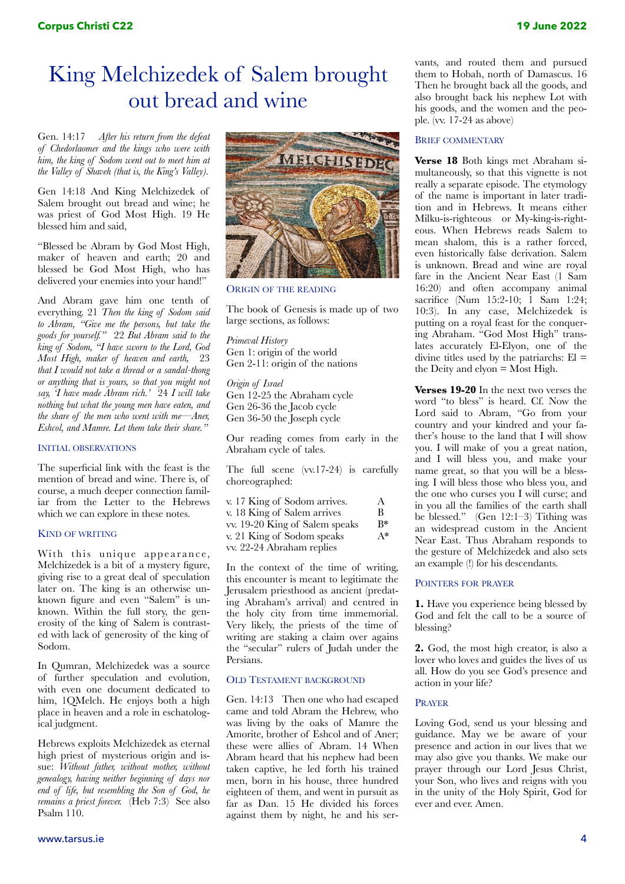# King Melchizedek of Salem brought out bread and wine

Gen. 14:17 *After his return from the defeat of Chedorlaomer and the kings who were with him, the king of Sodom went out to meet him at the Valley of Shaveh (that is, the King's Valley).* 

Gen 14:18 And King Melchizedek of Salem brought out bread and wine; he was priest of God Most High. 19 He blessed him and said,

"Blessed be Abram by God Most High, maker of heaven and earth; 20 and blessed be God Most High, who has delivered your enemies into your hand!"

And Abram gave him one tenth of everything. 21 *Then the king of Sodom said to Abram, "Give me the persons, but take the goods for yourself."* 22 *But Abram said to the king of Sodom, "I have sworn to the Lord, God Most High, maker of heaven and earth,* 23 *that I would not take a thread or a sandal-thong or anything that is yours, so that you might not say, 'I have made Abram rich.'* 24 *I will take nothing but what the young men have eaten, and the share of the men who went with me—Aner, Eshcol, and Mamre. Let them take their share."*

## INITIAL OBSERVATIONS

The superficial link with the feast is the mention of bread and wine. There is, of course, a much deeper connection familiar from the Letter to the Hebrews which we can explore in these notes.

## KIND OF WRITING

With this unique appearance, Melchizedek is a bit of a mystery figure, giving rise to a great deal of speculation later on. The king is an otherwise unknown figure and even "Salem" is unknown. Within the full story, the generosity of the king of Salem is contrasted with lack of generosity of the king of Sodom.

In Qumran, Melchizedek was a source of further speculation and evolution, with even one document dedicated to him, 1QMelch. He enjoys both a high place in heaven and a role in eschatological judgment.

Hebrews exploits Melchizedek as eternal high priest of mysterious origin and issue: *Without father, without mother, without genealogy, having neither beginning of days nor end of life, but resembling the Son of God, he remains a priest forever.* (Heb 7:3) See also Psalm 110.



ORIGIN OF THE READING

The book of Genesis is made up of two large sections, as follows:

*Primeval History* Gen 1: origin of the world Gen 2-11: origin of the nations

*Origin of Israel* Gen 12-25 the Abraham cycle Gen 26-36 the Jacob cycle Gen 36-50 the Joseph cycle

Our reading comes from early in the Abraham cycle of tales.

The full scene (vv.17-24) is carefully choreographed:

| v. 17 King of Sodom arrives.   | A     |
|--------------------------------|-------|
| v. 18 King of Salem arrives    | В     |
| vv. 19-20 King of Salem speaks | R*    |
| v. 21 King of Sodom speaks     | $A^*$ |
| vv. 22-24 Abraham replies      |       |

In the context of the time of writing, this encounter is meant to legitimate the Jerusalem priesthood as ancient (predating Abraham's arrival) and centred in the holy city from time immemorial. Very likely, the priests of the time of writing are staking a claim over agains the "secular" rulers of Judah under the Persians.

## OLD TESTAMENT BACKGROUND

Gen. 14:13 Then one who had escaped came and told Abram the Hebrew, who was living by the oaks of Mamre the Amorite, brother of Eshcol and of Aner; these were allies of Abram. 14 When Abram heard that his nephew had been taken captive, he led forth his trained men, born in his house, three hundred eighteen of them, and went in pursuit as far as Dan. 15 He divided his forces against them by night, he and his servants, and routed them and pursued them to Hobah, north of Damascus. 16 Then he brought back all the goods, and also brought back his nephew Lot with his goods, and the women and the people. (vv. 17-24 as above)

## BRIEF COMMENTARY

**Verse 18** Both kings met Abraham simultaneously, so that this vignette is not really a separate episode. The etymology of the name is important in later tradition and in Hebrews. It means either Milku-is-righteous or My-king-is-righteous. When Hebrews reads Salem to mean shalom, this is a rather forced, even historically false derivation. Salem is unknown. Bread and wine are royal fare in the Ancient Near East (1 Sam 16:20) and often accompany animal sacrifice (Num 15:2-10; 1 Sam 1:24; 10:3). In any case, Melchizedek is putting on a royal feast for the conquering Abraham. "God Most High" translates accurately El-Elyon, one of the divine titles used by the patriarchs:  $El =$ the Deity and elyon  $=$  Most High.

**Verses 19-20** In the next two verses the word "to bless" is heard. Cf. Now the Lord said to Abram, "Go from your country and your kindred and your father's house to the land that I will show you. I will make of you a great nation, and I will bless you, and make your name great, so that you will be a blessing. I will bless those who bless you, and the one who curses you I will curse; and in you all the families of the earth shall be blessed." (Gen 12:1–3) Tithing was an widespread custom in the Ancient Near East. Thus Abraham responds to the gesture of Melchizedek and also sets an example (!) for his descendants.

## POINTERS FOR PRAYER

**1.** Have you experience being blessed by God and felt the call to be a source of blessing?

**2.** God, the most high creator, is also a lover who loves and guides the lives of us all. How do you see God's presence and action in your life?

## PRAYER

Loving God, send us your blessing and guidance. May we be aware of your presence and action in our lives that we may also give you thanks. We make our prayer through our Lord Jesus Christ, your Son, who lives and reigns with you in the unity of the Holy Spirit, God for ever and ever. Amen.